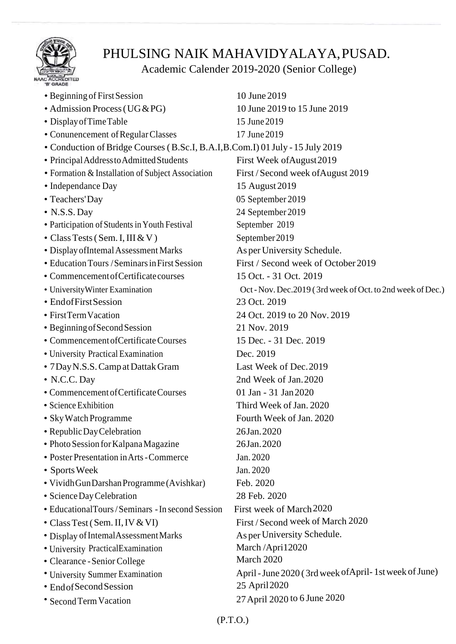

## PHULSING NAIK MAHAVIDYALAYA,PUSAD.

## Academic Calender 2019-2020 (Senior College)

| • Beginning of First Session                                                   | 10 June 2019                                               |
|--------------------------------------------------------------------------------|------------------------------------------------------------|
| • Admission Process (UG & PG)                                                  | 10 June 2019 to 15 June 2019                               |
| • Display of Time Table                                                        | 15 June 2019                                               |
| • Conunencement of Regular Classes                                             | 17 June 2019                                               |
| • Conduction of Bridge Courses (B.Sc.I, B.A.I, B.Com.I) 01 July - 15 July 2019 |                                                            |
| • Principal Address to Admitted Students                                       | First Week of August 2019                                  |
| • Formation & Installation of Subject Association                              | First / Second week of August 2019                         |
| • Independance Day                                                             | 15 August 2019                                             |
| • Teachers' Day                                                                | 05 September 2019                                          |
| $\bullet$ N.S.S. Day                                                           | 24 September 2019                                          |
| • Participation of Students in Youth Festival                                  | September 2019                                             |
| • Class Tests (Sem. I, III & V)                                                | September 2019                                             |
| · Display of Intemal Assessment Marks                                          | As per University Schedule.                                |
| • Education Tours / Seminars in First Session                                  | First / Second week of October 2019                        |
| • Commencement of Certificate courses                                          | 15 Oct. - 31 Oct. 2019                                     |
| • University Winter Examination                                                | Oct - Nov. Dec.2019 (3rd week of Oct. to 2nd week of Dec.) |
| • EndofFirst Session                                                           | 23 Oct. 2019                                               |
| • First Term Vacation                                                          | 24 Oct. 2019 to 20 Nov. 2019                               |
| • Beginning of Second Session                                                  | 21 Nov. 2019                                               |
| • Commencement of Certificate Courses                                          | 15 Dec. - 31 Dec. 2019                                     |
| • University Practical Examination                                             | Dec. 2019                                                  |
| • 7 Day N.S.S. Camp at Dattak Gram                                             | Last Week of Dec. 2019                                     |
| • N.C.C. Day                                                                   | 2nd Week of Jan. 2020                                      |
| • Commencement of Certificate Courses                                          | 01 Jan - 31 Jan 2020                                       |
| · Science Exhibition                                                           | Third Week of Jan. 2020                                    |
| · Sky Watch Programme                                                          | Fourth Week of Jan. 2020                                   |
| • Republic Day Celebration                                                     | 26Jan. 2020                                                |
| • Photo Session for Kalpana Magazine                                           | 26Jan. 2020                                                |
| • Poster Presentation in Arts - Commerce                                       | Jan. 2020                                                  |
| • Sports Week                                                                  | Jan. 2020                                                  |
| • Vividh Gun Darshan Programme (Avishkar)                                      | Feb. 2020                                                  |
| · Science Day Celebration                                                      | 28 Feb. 2020                                               |
| • EducationalTours / Seminars - In second Session                              | First week of March 2020                                   |
| • Class Test (Sem. II, IV & VI)                                                | First / Second week of March 2020                          |
| • Display of Intemal Assessment Marks                                          | As per University Schedule.                                |
| • University PracticalExamination                                              | March/April2020                                            |
| • Clearance - Senior College                                                   | March 2020                                                 |
| • University Summer Examination                                                | April - June 2020 (3rd week of April - 1st week of June)   |
| • Endof Second Session                                                         | 25 April 2020                                              |
| • Second Term Vacation                                                         | 27 April 2020 to 6 June 2020                               |
|                                                                                |                                                            |